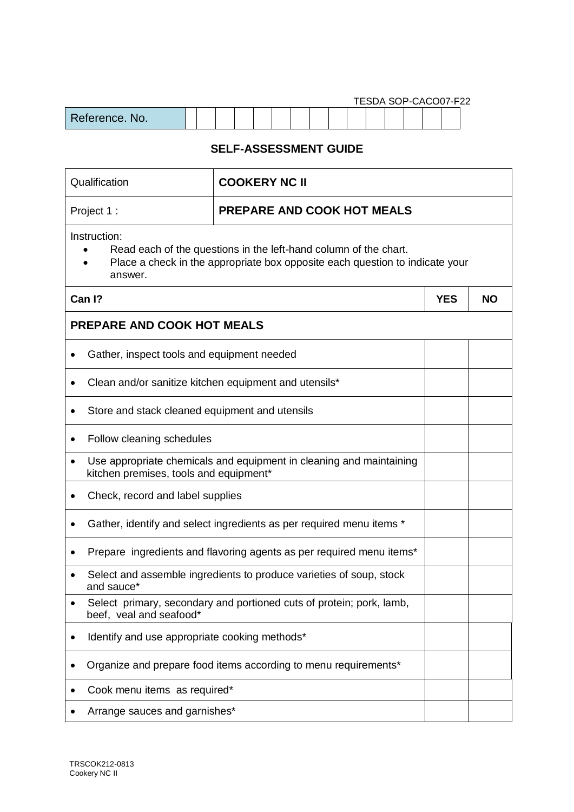| TESDA SOP-CACO07-F22 |  |  |  |  |  |  |  |  |  |  |  |  |  |  |  |  |
|----------------------|--|--|--|--|--|--|--|--|--|--|--|--|--|--|--|--|
| Reference. No.       |  |  |  |  |  |  |  |  |  |  |  |  |  |  |  |  |

## **SELF-ASSESSMENT GUIDE**

| Qualification                                                                                                                                                               | <b>COOKERY NC II</b>              |  |           |  |  |  |  |  |
|-----------------------------------------------------------------------------------------------------------------------------------------------------------------------------|-----------------------------------|--|-----------|--|--|--|--|--|
| Project 1:                                                                                                                                                                  | <b>PREPARE AND COOK HOT MEALS</b> |  |           |  |  |  |  |  |
| Instruction:<br>Read each of the questions in the left-hand column of the chart.<br>Place a check in the appropriate box opposite each question to indicate your<br>answer. |                                   |  |           |  |  |  |  |  |
| Can I?                                                                                                                                                                      |                                   |  | <b>NO</b> |  |  |  |  |  |
| <b>PREPARE AND COOK HOT MEALS</b>                                                                                                                                           |                                   |  |           |  |  |  |  |  |
| Gather, inspect tools and equipment needed                                                                                                                                  |                                   |  |           |  |  |  |  |  |
| Clean and/or sanitize kitchen equipment and utensils*                                                                                                                       |                                   |  |           |  |  |  |  |  |
| Store and stack cleaned equipment and utensils                                                                                                                              |                                   |  |           |  |  |  |  |  |
| Follow cleaning schedules                                                                                                                                                   |                                   |  |           |  |  |  |  |  |
| Use appropriate chemicals and equipment in cleaning and maintaining<br>kitchen premises, tools and equipment*                                                               |                                   |  |           |  |  |  |  |  |
| Check, record and label supplies<br>$\bullet$                                                                                                                               |                                   |  |           |  |  |  |  |  |
| Gather, identify and select ingredients as per required menu items *                                                                                                        |                                   |  |           |  |  |  |  |  |
| Prepare ingredients and flavoring agents as per required menu items*                                                                                                        |                                   |  |           |  |  |  |  |  |
| Select and assemble ingredients to produce varieties of soup, stock<br>and sauce*                                                                                           |                                   |  |           |  |  |  |  |  |
| Select primary, secondary and portioned cuts of protein; pork, lamb,<br>beef, veal and seafood*                                                                             |                                   |  |           |  |  |  |  |  |
| Identify and use appropriate cooking methods*                                                                                                                               |                                   |  |           |  |  |  |  |  |
| Organize and prepare food items according to menu requirements*                                                                                                             |                                   |  |           |  |  |  |  |  |
| Cook menu items as required*                                                                                                                                                |                                   |  |           |  |  |  |  |  |
| Arrange sauces and garnishes*                                                                                                                                               |                                   |  |           |  |  |  |  |  |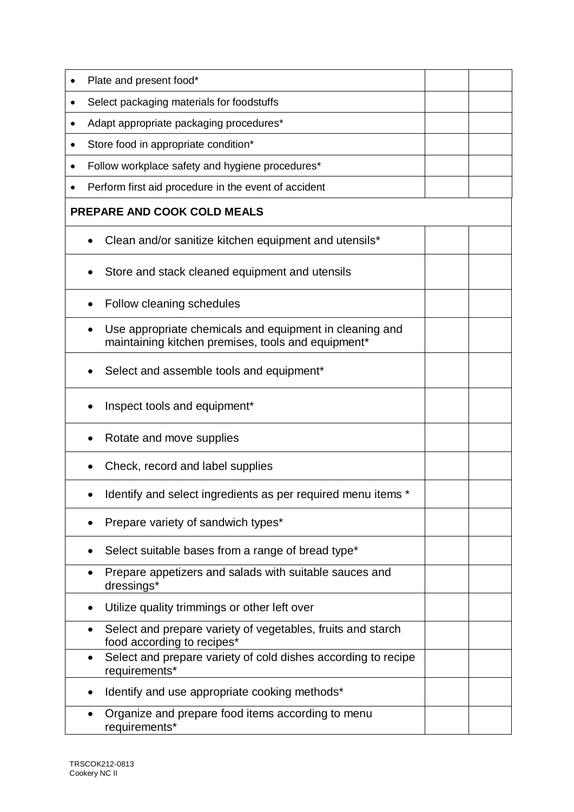| Plate and present food*                                                                                       |  |  |  |  |  |  |
|---------------------------------------------------------------------------------------------------------------|--|--|--|--|--|--|
| Select packaging materials for foodstuffs                                                                     |  |  |  |  |  |  |
| Adapt appropriate packaging procedures*                                                                       |  |  |  |  |  |  |
| Store food in appropriate condition*<br>$\bullet$                                                             |  |  |  |  |  |  |
| Follow workplace safety and hygiene procedures*                                                               |  |  |  |  |  |  |
| Perform first aid procedure in the event of accident                                                          |  |  |  |  |  |  |
| <b>PREPARE AND COOK COLD MEALS</b>                                                                            |  |  |  |  |  |  |
| Clean and/or sanitize kitchen equipment and utensils*                                                         |  |  |  |  |  |  |
| Store and stack cleaned equipment and utensils                                                                |  |  |  |  |  |  |
| Follow cleaning schedules                                                                                     |  |  |  |  |  |  |
| Use appropriate chemicals and equipment in cleaning and<br>maintaining kitchen premises, tools and equipment* |  |  |  |  |  |  |
| Select and assemble tools and equipment*                                                                      |  |  |  |  |  |  |
| Inspect tools and equipment*                                                                                  |  |  |  |  |  |  |
| Rotate and move supplies                                                                                      |  |  |  |  |  |  |
| Check, record and label supplies                                                                              |  |  |  |  |  |  |
| Identify and select ingredients as per required menu items *                                                  |  |  |  |  |  |  |
| Prepare variety of sandwich types*                                                                            |  |  |  |  |  |  |
| Select suitable bases from a range of bread type*                                                             |  |  |  |  |  |  |
| Prepare appetizers and salads with suitable sauces and<br>٠<br>dressings*                                     |  |  |  |  |  |  |
| Utilize quality trimmings or other left over                                                                  |  |  |  |  |  |  |
| Select and prepare variety of vegetables, fruits and starch<br>$\bullet$<br>food according to recipes*        |  |  |  |  |  |  |
| Select and prepare variety of cold dishes according to recipe<br>$\bullet$<br>requirements*                   |  |  |  |  |  |  |
| Identify and use appropriate cooking methods*                                                                 |  |  |  |  |  |  |
| Organize and prepare food items according to menu<br>requirements*                                            |  |  |  |  |  |  |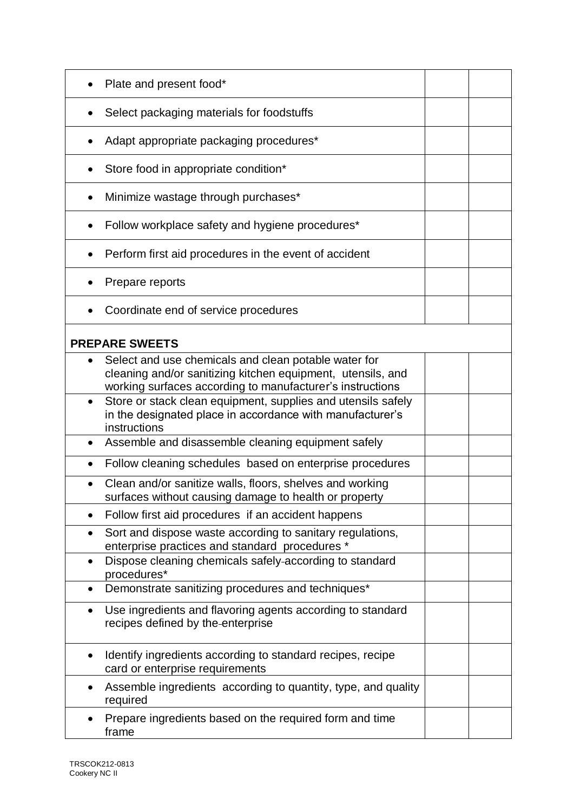|           | Plate and present food*                                                                                                                                                          |  |
|-----------|----------------------------------------------------------------------------------------------------------------------------------------------------------------------------------|--|
|           | Select packaging materials for foodstuffs                                                                                                                                        |  |
|           | Adapt appropriate packaging procedures*                                                                                                                                          |  |
|           | Store food in appropriate condition*                                                                                                                                             |  |
|           | Minimize wastage through purchases*                                                                                                                                              |  |
|           | Follow workplace safety and hygiene procedures*                                                                                                                                  |  |
|           | Perform first aid procedures in the event of accident                                                                                                                            |  |
|           | Prepare reports                                                                                                                                                                  |  |
|           | Coordinate end of service procedures                                                                                                                                             |  |
|           | <b>PREPARE SWEETS</b>                                                                                                                                                            |  |
| $\bullet$ | Select and use chemicals and clean potable water for<br>cleaning and/or sanitizing kitchen equipment, utensils, and<br>working surfaces according to manufacturer's instructions |  |
| $\bullet$ | Store or stack clean equipment, supplies and utensils safely<br>in the designated place in accordance with manufacturer's<br>instructions                                        |  |
| $\bullet$ | Assemble and disassemble cleaning equipment safely                                                                                                                               |  |
|           | Follow cleaning schedules based on enterprise procedures                                                                                                                         |  |
| $\bullet$ | Clean and/or sanitize walls, floors, shelves and working<br>surfaces without causing damage to health or property                                                                |  |
|           | Follow first aid procedures if an accident happens                                                                                                                               |  |
| $\bullet$ | Sort and dispose waste according to sanitary regulations,<br>enterprise practices and standard procedures *                                                                      |  |
| $\bullet$ | Dispose cleaning chemicals safely-according to standard<br>procedures*                                                                                                           |  |
| ٠         | Demonstrate sanitizing procedures and techniques*                                                                                                                                |  |
| $\bullet$ | Use ingredients and flavoring agents according to standard<br>recipes defined by the enterprise                                                                                  |  |
| $\bullet$ | Identify ingredients according to standard recipes, recipe<br>card or enterprise requirements                                                                                    |  |
|           | Assemble ingredients according to quantity, type, and quality<br>required                                                                                                        |  |
|           | Prepare ingredients based on the required form and time<br>frame                                                                                                                 |  |